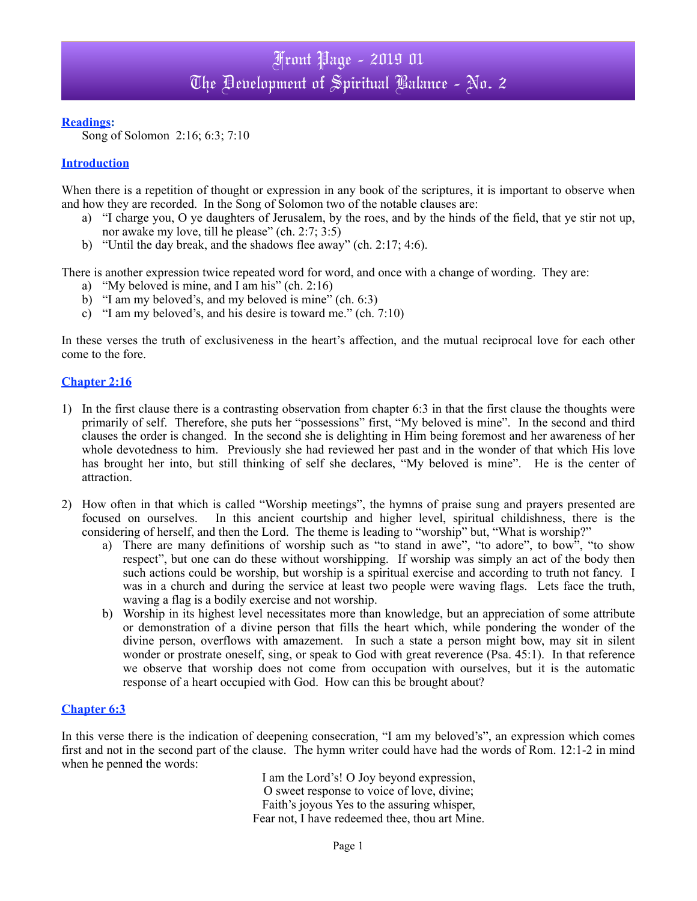### **Readings:**

Song of Solomon 2:16; 6:3; 7:10

### **Introduction**

When there is a repetition of thought or expression in any book of the scriptures, it is important to observe when and how they are recorded. In the Song of Solomon two of the notable clauses are:

- a) "I charge you, O ye daughters of Jerusalem, by the roes, and by the hinds of the field, that ye stir not up, nor awake my love, till he please" (ch. 2:7; 3:5)
- b) "Until the day break, and the shadows flee away" (ch. 2:17; 4:6).

There is another expression twice repeated word for word, and once with a change of wording. They are:

- a) "My beloved is mine, and I am his" (ch. 2:16)
- b) "I am my beloved's, and my beloved is mine" (ch. 6:3)
- c) "I am my beloved's, and his desire is toward me." (ch. 7:10)

In these verses the truth of exclusiveness in the heart's affection, and the mutual reciprocal love for each other come to the fore.

### **Chapter 2:16**

- 1) In the first clause there is a contrasting observation from chapter 6:3 in that the first clause the thoughts were primarily of self. Therefore, she puts her "possessions" first, "My beloved is mine". In the second and third clauses the order is changed. In the second she is delighting in Him being foremost and her awareness of her whole devotedness to him. Previously she had reviewed her past and in the wonder of that which His love has brought her into, but still thinking of self she declares, "My beloved is mine". He is the center of attraction.
- 2) How often in that which is called "Worship meetings", the hymns of praise sung and prayers presented are focused on ourselves. In this ancient courtship and higher level, spiritual childishness, there is the considering of herself, and then the Lord. The theme is leading to "worship" but, "What is worship?"
	- a) There are many definitions of worship such as "to stand in awe", "to adore", to bow", "to show respect", but one can do these without worshipping. If worship was simply an act of the body then such actions could be worship, but worship is a spiritual exercise and according to truth not fancy. I was in a church and during the service at least two people were waving flags. Lets face the truth, waving a flag is a bodily exercise and not worship.
	- b) Worship in its highest level necessitates more than knowledge, but an appreciation of some attribute or demonstration of a divine person that fills the heart which, while pondering the wonder of the divine person, overflows with amazement. In such a state a person might bow, may sit in silent wonder or prostrate oneself, sing, or speak to God with great reverence (Psa. 45:1). In that reference we observe that worship does not come from occupation with ourselves, but it is the automatic response of a heart occupied with God. How can this be brought about?

### **Chapter 6:3**

In this verse there is the indication of deepening consecration, "I am my beloved's", an expression which comes first and not in the second part of the clause. The hymn writer could have had the words of Rom. 12:1-2 in mind when he penned the words:

> I am the Lord's! O Joy beyond expression, O sweet response to voice of love, divine; Faith's joyous Yes to the assuring whisper, Fear not, I have redeemed thee, thou art Mine.